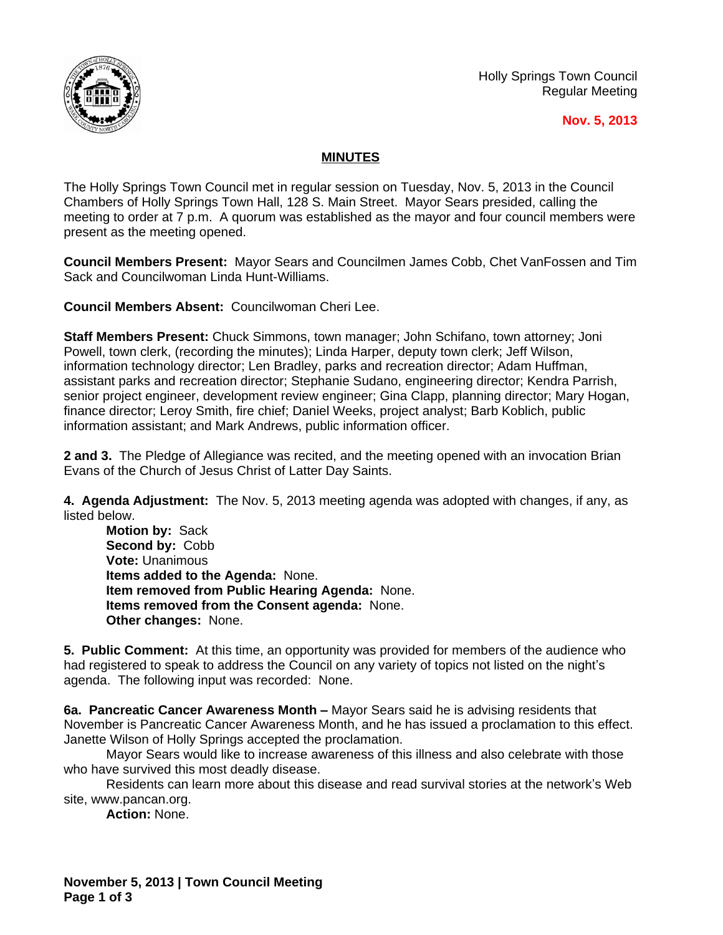

Holly Springs Town Council Regular Meeting

## **Nov. 5, 2013**

## **MINUTES**

The Holly Springs Town Council met in regular session on Tuesday, Nov. 5, 2013 in the Council Chambers of Holly Springs Town Hall, 128 S. Main Street. Mayor Sears presided, calling the meeting to order at 7 p.m. A quorum was established as the mayor and four council members were present as the meeting opened.

**Council Members Present:** Mayor Sears and Councilmen James Cobb, Chet VanFossen and Tim Sack and Councilwoman Linda Hunt-Williams.

**Council Members Absent:** Councilwoman Cheri Lee.

**Staff Members Present:** Chuck Simmons, town manager; John Schifano, town attorney; Joni Powell, town clerk, (recording the minutes); Linda Harper, deputy town clerk; Jeff Wilson, information technology director; Len Bradley, parks and recreation director; Adam Huffman, assistant parks and recreation director; Stephanie Sudano, engineering director; Kendra Parrish, senior project engineer, development review engineer; Gina Clapp, planning director; Mary Hogan, finance director; Leroy Smith, fire chief; Daniel Weeks, project analyst; Barb Koblich, public information assistant; and Mark Andrews, public information officer.

**2 and 3.** The Pledge of Allegiance was recited, and the meeting opened with an invocation Brian Evans of the Church of Jesus Christ of Latter Day Saints.

**4. Agenda Adjustment:** The Nov. 5, 2013 meeting agenda was adopted with changes, if any, as listed below.

**Motion by:** Sack Second by: Cobb **Vote:** Unanimous **Items added to the Agenda:** None. **Item removed from Public Hearing Agenda:** None. **Items removed from the Consent agenda:** None. **Other changes:** None.

**5. Public Comment:** At this time, an opportunity was provided for members of the audience who had registered to speak to address the Council on any variety of topics not listed on the night's agenda. The following input was recorded: None.

**6a. Pancreatic Cancer Awareness Month –** Mayor Sears said he is advising residents that November is Pancreatic Cancer Awareness Month, and he has issued a proclamation to this effect. Janette Wilson of Holly Springs accepted the proclamation.

Mayor Sears would like to increase awareness of this illness and also celebrate with those who have survived this most deadly disease.

Residents can learn more about this disease and read survival stories at the network's Web site, www.pancan.org.

**Action:** None.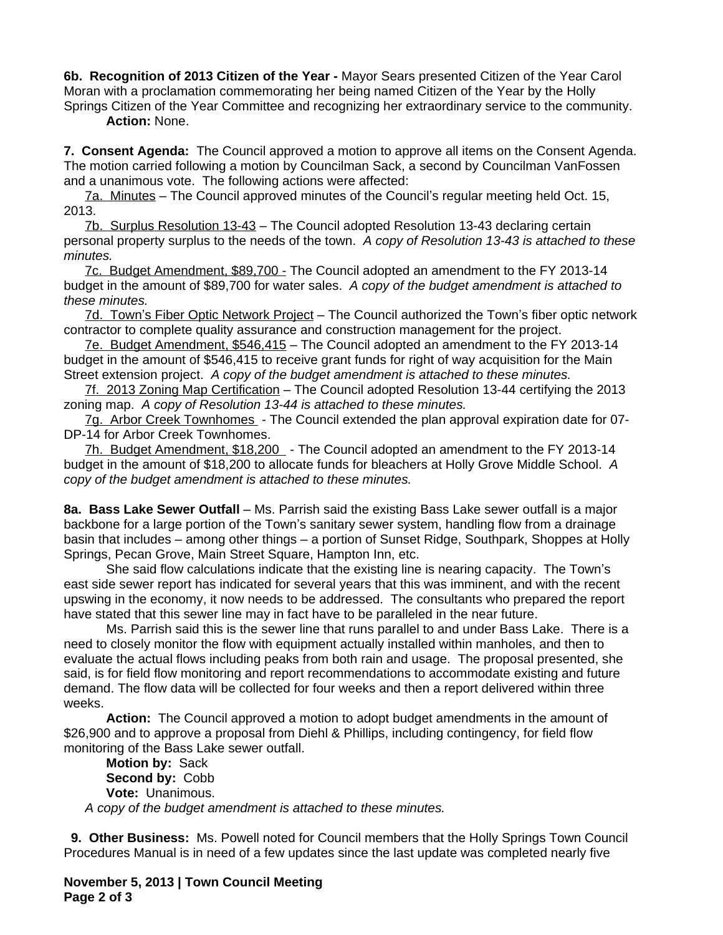**6b. Recognition of 2013 Citizen of the Year -** Mayor Sears presented Citizen of the Year Carol Moran with a proclamation commemorating her being named Citizen of the Year by the Holly Springs Citizen of the Year Committee and recognizing her extraordinary service to the community.

**Action:** None.

**7. Consent Agenda:** The Council approved a motion to approve all items on the Consent Agenda. The motion carried following a motion by Councilman Sack, a second by Councilman VanFossen and a unanimous vote. The following actions were affected:

7a. Minutes – The Council approved minutes of the Council's regular meeting held Oct. 15, 2013.

7b. Surplus Resolution 13-43 – The Council adopted Resolution 13-43 declaring certain personal property surplus to the needs of the town. *A copy of Resolution 13-43 is attached to these minutes.*

7c. Budget Amendment, \$89,700 - The Council adopted an amendment to the FY 2013-14 budget in the amount of \$89,700 for water sales. *A copy of the budget amendment is attached to these minutes.*

7d. Town's Fiber Optic Network Project – The Council authorized the Town's fiber optic network contractor to complete quality assurance and construction management for the project.

7e. Budget Amendment, \$546,415 – The Council adopted an amendment to the FY 2013-14 budget in the amount of \$546,415 to receive grant funds for right of way acquisition for the Main Street extension project. *A copy of the budget amendment is attached to these minutes.*

7f. 2013 Zoning Map Certification – The Council adopted Resolution 13-44 certifying the 2013 zoning map. *A copy of Resolution 13-44 is attached to these minutes.*

7g. Arbor Creek Townhomes - The Council extended the plan approval expiration date for 07- DP-14 for Arbor Creek Townhomes.

7h. Budget Amendment, \$18,200 - The Council adopted an amendment to the FY 2013-14 budget in the amount of \$18,200 to allocate funds for bleachers at Holly Grove Middle School. *A copy of the budget amendment is attached to these minutes.*

**8a. Bass Lake Sewer Outfall** – Ms. Parrish said the existing Bass Lake sewer outfall is a major backbone for a large portion of the Town's sanitary sewer system, handling flow from a drainage basin that includes – among other things – a portion of Sunset Ridge, Southpark, Shoppes at Holly Springs, Pecan Grove, Main Street Square, Hampton Inn, etc.

She said flow calculations indicate that the existing line is nearing capacity. The Town's east side sewer report has indicated for several years that this was imminent, and with the recent upswing in the economy, it now needs to be addressed. The consultants who prepared the report have stated that this sewer line may in fact have to be paralleled in the near future.

Ms. Parrish said this is the sewer line that runs parallel to and under Bass Lake. There is a need to closely monitor the flow with equipment actually installed within manholes, and then to evaluate the actual flows including peaks from both rain and usage. The proposal presented, she said, is for field flow monitoring and report recommendations to accommodate existing and future demand. The flow data will be collected for four weeks and then a report delivered within three weeks.

**Action:** The Council approved a motion to adopt budget amendments in the amount of \$26,900 and to approve a proposal from Diehl & Phillips, including contingency, for field flow monitoring of the Bass Lake sewer outfall.

**Motion by:** Sack **Second by:** Cobb **Vote:** Unanimous. *A copy of the budget amendment is attached to these minutes.*

 **9. Other Business:** Ms. Powell noted for Council members that the Holly Springs Town Council Procedures Manual is in need of a few updates since the last update was completed nearly five

**November 5, 2013 | Town Council Meeting Page 2 of 3**